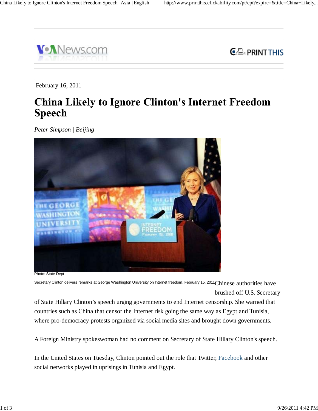



February 16, 2011

## **China Likely to Ignore Clinton's Internet Freedom Speech**

*Peter Simpson | Beijing*



Photo: State Dept

Secretary Clinton delivers remarks at George Washington University on Internet freedom, February 15, 2011 $\rm Chinese~authorities~have$ brushed off U.S. Secretary

of State Hillary Clinton's speech urging governments to end Internet censorship. She warned that countries such as China that censor the Internet risk going the same way as Egypt and Tunisia, where pro-democracy protests organized via social media sites and brought down governments.

A Foreign Ministry spokeswoman had no comment on Secretary of State Hillary Clinton's speech.

In the United States on Tuesday, Clinton pointed out the role that Twitter, Facebook and other social networks played in uprisings in Tunisia and Egypt.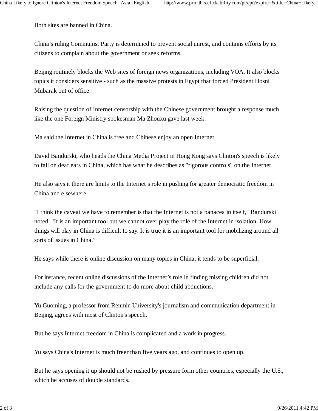Both sites are banned in China.

China's ruling Communist Party is determined to prevent social unrest, and contains efforts by its citizens to complain about the government or seek reforms.

Beijing routinely blocks the Web sites of foreign news organizations, including VOA. It also blocks topics it considers sensitive - such as the massive protests in Egypt that forced President Hosni Mubarak out of office.

Raising the question of Internet censorship with the Chinese government brought a response much like the one Foreign Ministry spokesman Ma Zhouxu gave last week.

Ma said the Internet in China is free and Chinese enjoy an open Internet.

David Bandurski, who heads the China Media Project in Hong Kong says Clinton's speech is likely to fall on deaf ears in China, which has what he describes as "rigorous controls" on the Internet.

He also says it there are limits to the Internet's role in pushing for greater democratic freedom in China and elsewhere.

"I think the caveat we have to remember is that the Internet is not a panacea in itself," Bandurski noted. "It is an important tool but we cannot over play the role of the Internet in isolation. How things will play in China is difficult to say. It is true it is an important tool for mobilizing around all sorts of issues in China."

He says while there is online discussion on many topics in China, it tends to be superficial.

For instance, recent online discussions of the Internet's role in finding missing children did not include any calls for the government to do more about child abductions.

Yu Guoming, a professor from Renmin University's journalism and communication department in Beijing, agrees with most of Clinton's speech.

But he says Internet freedom in China is complicated and a work in progress.

Yu says China's Internet is much freer than five years ago, and continues to open up.

But he says opening it up should not be rushed by pressure form other countries, especially the U.S., which he accuses of double standards.